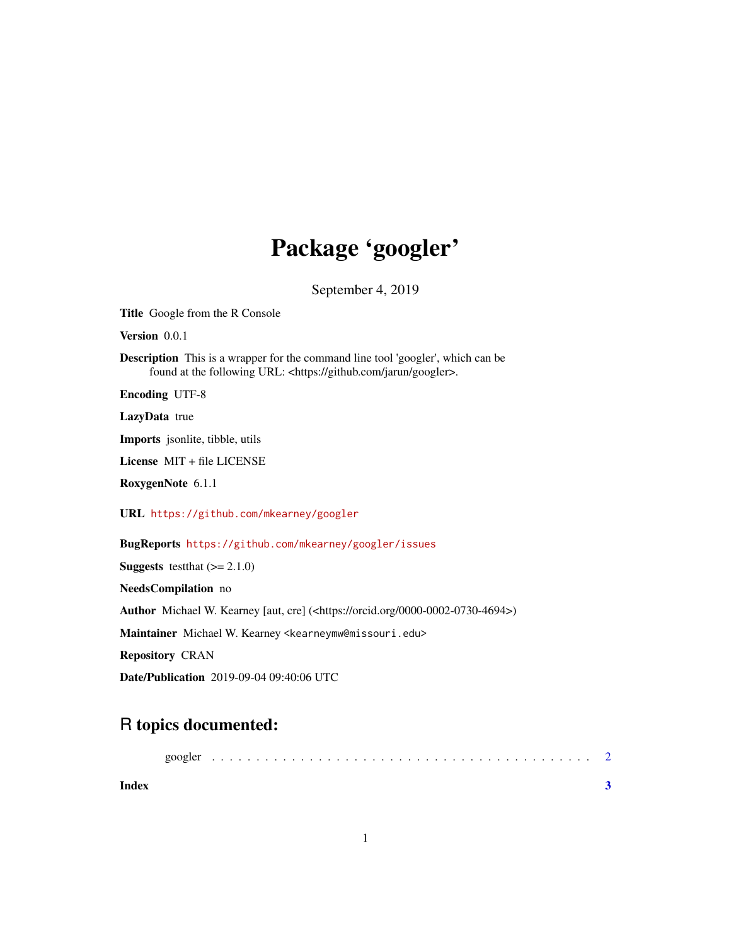## Package 'googler'

September 4, 2019

Title Google from the R Console Version 0.0.1

Description This is a wrapper for the command line tool 'googler', which can be found at the following URL: <https://github.com/jarun/googler>.

Encoding UTF-8

LazyData true

Imports jsonlite, tibble, utils

License MIT + file LICENSE

RoxygenNote 6.1.1

URL <https://github.com/mkearney/googler>

BugReports <https://github.com/mkearney/googler/issues>

**Suggests** test that  $(>= 2.1.0)$ 

NeedsCompilation no

Author Michael W. Kearney [aut, cre] (<https://orcid.org/0000-0002-0730-4694>)

Maintainer Michael W. Kearney <kearneymw@missouri.edu>

Repository CRAN

Date/Publication 2019-09-04 09:40:06 UTC

### R topics documented:

| Index |  |  |  |  |  |  |  |  |  |  |  |  |  |  |  |  |  |  |  |  |
|-------|--|--|--|--|--|--|--|--|--|--|--|--|--|--|--|--|--|--|--|--|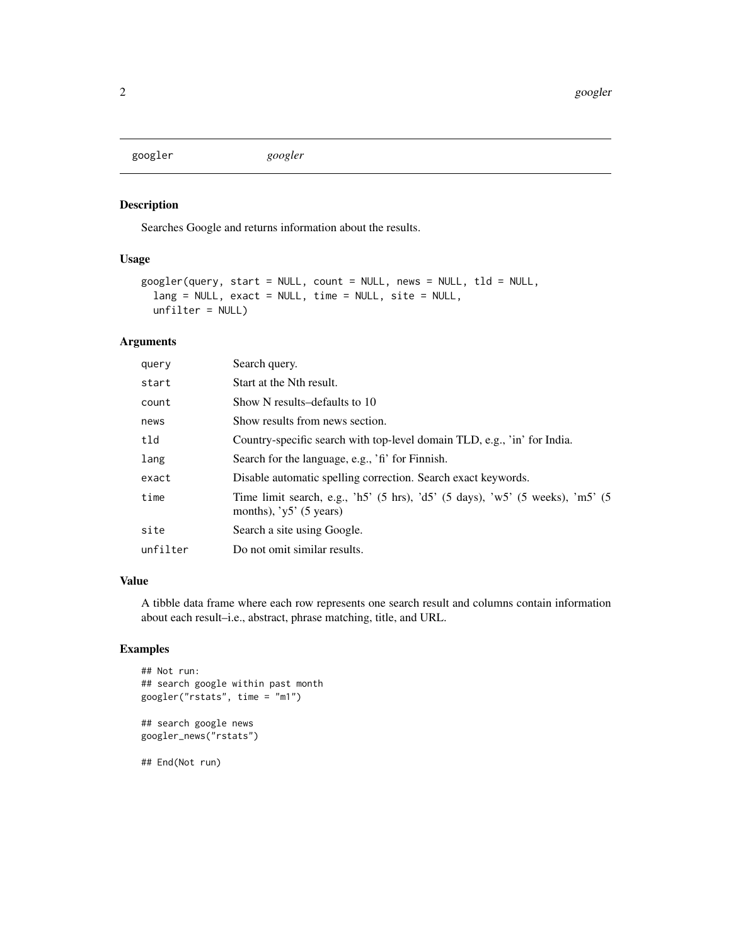<span id="page-1-0"></span>googler *googler*

#### Description

Searches Google and returns information about the results.

#### Usage

```
googler(query, start = NULL, count = NULL, news = NULL, tld = NULL,
  lang = NULL, exact = NULL, time = NULL, site = NULL,
 unfilter = NULL)
```
#### Arguments

| query    | Search query.                                                                                             |
|----------|-----------------------------------------------------------------------------------------------------------|
| start    | Start at the Nth result.                                                                                  |
| count    | Show N results-defaults to 10                                                                             |
| news     | Show results from news section.                                                                           |
| tld      | Country-specific search with top-level domain TLD, e.g., 'in' for India.                                  |
| lang     | Search for the language, e.g., 'fi' for Finnish.                                                          |
| exact    | Disable automatic spelling correction. Search exact keywords.                                             |
| time     | Time limit search, e.g., 'h5' (5 hrs), 'd5' (5 days), 'w5' (5 weeks), 'm5' (5<br>months), $y5'$ (5 years) |
| site     | Search a site using Google.                                                                               |
| unfilter | Do not omit similar results.                                                                              |
|          |                                                                                                           |

#### Value

A tibble data frame where each row represents one search result and columns contain information about each result–i.e., abstract, phrase matching, title, and URL.

#### Examples

```
## Not run:
## search google within past month
googler("rstats", time = "m1")
```

```
## search google news
googler_news("rstats")
```
## End(Not run)